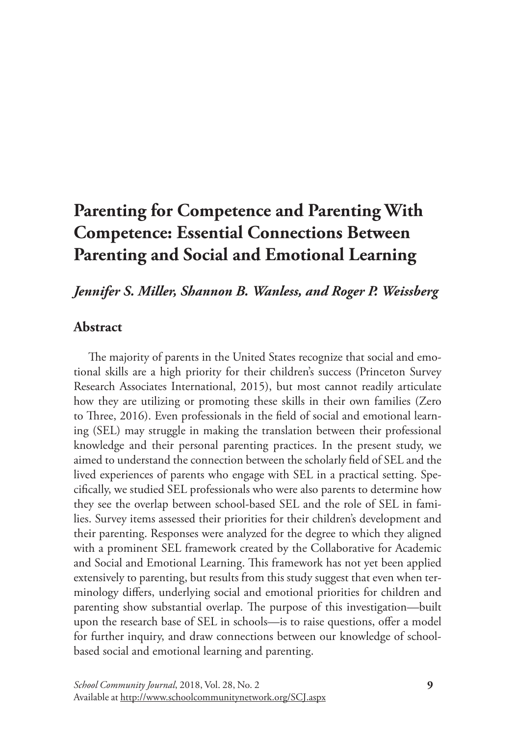# **Parenting for Competence and Parenting With Competence: Essential Connections Between Parenting and Social and Emotional Learning**

# *Jennifer S. Miller, Shannon B. Wanless, and Roger P. Weissberg*

## **Abstract**

The majority of parents in the United States recognize that social and emotional skills are a high priority for their children's success (Princeton Survey Research Associates International, 2015), but most cannot readily articulate how they are utilizing or promoting these skills in their own families (Zero to Three, 2016). Even professionals in the field of social and emotional learning (SEL) may struggle in making the translation between their professional knowledge and their personal parenting practices. In the present study, we aimed to understand the connection between the scholarly field of SEL and the lived experiences of parents who engage with SEL in a practical setting. Specifically, we studied SEL professionals who were also parents to determine how they see the overlap between school-based SEL and the role of SEL in families. Survey items assessed their priorities for their children's development and their parenting. Responses were analyzed for the degree to which they aligned with a prominent SEL framework created by the Collaborative for Academic and Social and Emotional Learning. This framework has not yet been applied extensively to parenting, but results from this study suggest that even when terminology differs, underlying social and emotional priorities for children and parenting show substantial overlap. The purpose of this investigation—built upon the research base of SEL in schools—is to raise questions, offer a model for further inquiry, and draw connections between our knowledge of schoolbased social and emotional learning and parenting.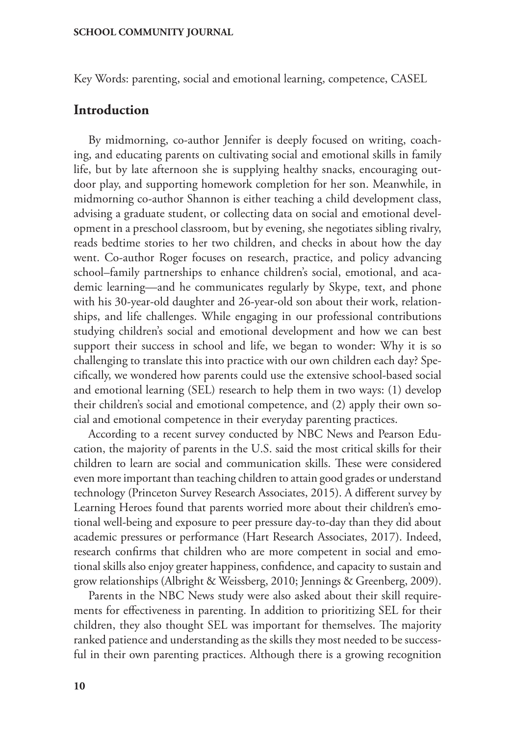Key Words: parenting, social and emotional learning, competence, CASEL

## **Introduction**

By midmorning, co-author Jennifer is deeply focused on writing, coaching, and educating parents on cultivating social and emotional skills in family life, but by late afternoon she is supplying healthy snacks, encouraging outdoor play, and supporting homework completion for her son. Meanwhile, in midmorning co-author Shannon is either teaching a child development class, advising a graduate student, or collecting data on social and emotional development in a preschool classroom, but by evening, she negotiates sibling rivalry, reads bedtime stories to her two children, and checks in about how the day went. Co-author Roger focuses on research, practice, and policy advancing school–family partnerships to enhance children's social, emotional, and academic learning—and he communicates regularly by Skype, text, and phone with his 30-year-old daughter and 26-year-old son about their work, relationships, and life challenges. While engaging in our professional contributions studying children's social and emotional development and how we can best support their success in school and life, we began to wonder: Why it is so challenging to translate this into practice with our own children each day? Specifically, we wondered how parents could use the extensive school-based social and emotional learning (SEL) research to help them in two ways: (1) develop their children's social and emotional competence, and (2) apply their own social and emotional competence in their everyday parenting practices.

According to a recent survey conducted by NBC News and Pearson Education, the majority of parents in the U.S. said the most critical skills for their children to learn are social and communication skills. These were considered even more important than teaching children to attain good grades or understand technology (Princeton Survey Research Associates, 2015). A different survey by Learning Heroes found that parents worried more about their children's emotional well-being and exposure to peer pressure day-to-day than they did about academic pressures or performance (Hart Research Associates, 2017). Indeed, research confirms that children who are more competent in social and emotional skills also enjoy greater happiness, confidence, and capacity to sustain and grow relationships (Albright & Weissberg, 2010; Jennings & Greenberg, 2009).

Parents in the NBC News study were also asked about their skill requirements for effectiveness in parenting. In addition to prioritizing SEL for their children, they also thought SEL was important for themselves. The majority ranked patience and understanding as the skills they most needed to be successful in their own parenting practices. Although there is a growing recognition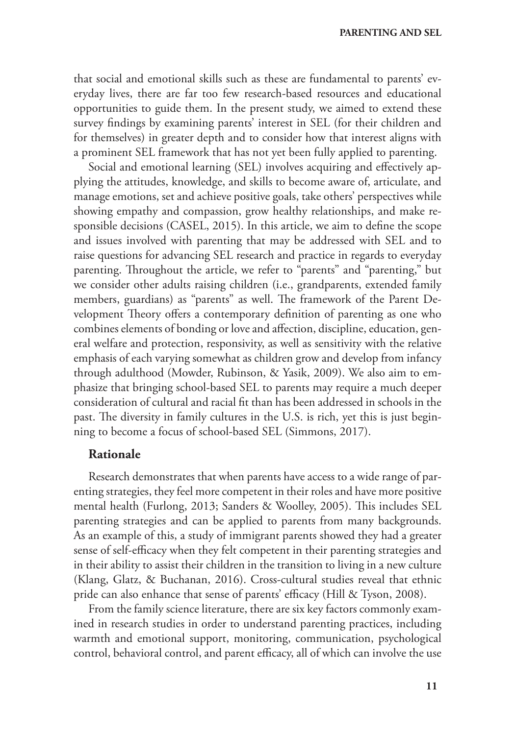that social and emotional skills such as these are fundamental to parents' everyday lives, there are far too few research-based resources and educational opportunities to guide them. In the present study, we aimed to extend these survey findings by examining parents' interest in SEL (for their children and for themselves) in greater depth and to consider how that interest aligns with a prominent SEL framework that has not yet been fully applied to parenting.

Social and emotional learning (SEL) involves acquiring and effectively applying the attitudes, knowledge, and skills to become aware of, articulate, and manage emotions, set and achieve positive goals, take others' perspectives while showing empathy and compassion, grow healthy relationships, and make responsible decisions (CASEL, 2015). In this article, we aim to define the scope and issues involved with parenting that may be addressed with SEL and to raise questions for advancing SEL research and practice in regards to everyday parenting. Throughout the article, we refer to "parents" and "parenting," but we consider other adults raising children (i.e., grandparents, extended family members, guardians) as "parents" as well. The framework of the Parent Development Theory offers a contemporary definition of parenting as one who combines elements of bonding or love and affection, discipline, education, general welfare and protection, responsivity, as well as sensitivity with the relative emphasis of each varying somewhat as children grow and develop from infancy through adulthood (Mowder, Rubinson, & Yasik, 2009). We also aim to emphasize that bringing school-based SEL to parents may require a much deeper consideration of cultural and racial fit than has been addressed in schools in the past. The diversity in family cultures in the U.S. is rich, yet this is just beginning to become a focus of school-based SEL (Simmons, 2017).

## **Rationale**

Research demonstrates that when parents have access to a wide range of parenting strategies, they feel more competent in their roles and have more positive mental health (Furlong, 2013; Sanders & Woolley, 2005). This includes SEL parenting strategies and can be applied to parents from many backgrounds. As an example of this, a study of immigrant parents showed they had a greater sense of self-efficacy when they felt competent in their parenting strategies and in their ability to assist their children in the transition to living in a new culture (Klang, Glatz, & Buchanan, 2016). Cross-cultural studies reveal that ethnic pride can also enhance that sense of parents' efficacy (Hill & Tyson, 2008).

From the family science literature, there are six key factors commonly examined in research studies in order to understand parenting practices, including warmth and emotional support, monitoring, communication, psychological control, behavioral control, and parent efficacy, all of which can involve the use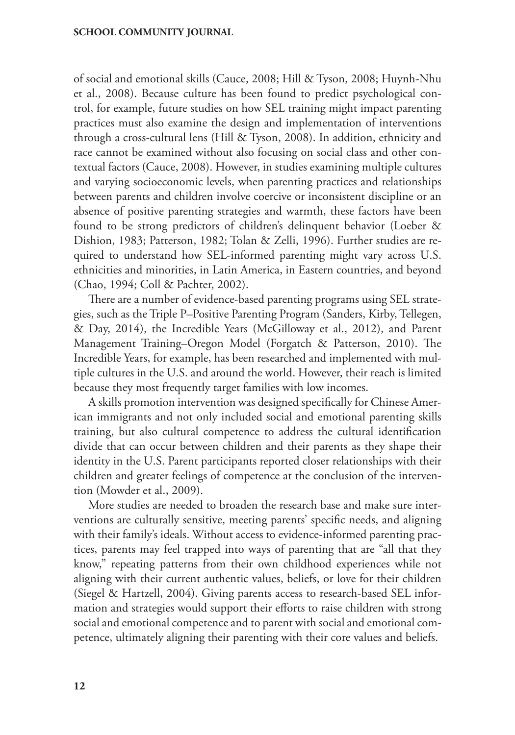of social and emotional skills (Cauce, 2008; Hill & Tyson, 2008; Huynh-Nhu et al., 2008). Because culture has been found to predict psychological control, for example, future studies on how SEL training might impact parenting practices must also examine the design and implementation of interventions through a cross-cultural lens (Hill & Tyson, 2008). In addition, ethnicity and race cannot be examined without also focusing on social class and other contextual factors (Cauce, 2008). However, in studies examining multiple cultures and varying socioeconomic levels, when parenting practices and relationships between parents and children involve coercive or inconsistent discipline or an absence of positive parenting strategies and warmth, these factors have been found to be strong predictors of children's delinquent behavior (Loeber & Dishion, 1983; Patterson, 1982; Tolan & Zelli, 1996). Further studies are required to understand how SEL-informed parenting might vary across U.S. ethnicities and minorities, in Latin America, in Eastern countries, and beyond (Chao, 1994; Coll & Pachter, 2002).

There are a number of evidence-based parenting programs using SEL strategies, such as the Triple P–Positive Parenting Program (Sanders, Kirby, Tellegen, & Day, 2014), the Incredible Years (McGilloway et al., 2012), and Parent Management Training–Oregon Model (Forgatch & Patterson, 2010). The Incredible Years, for example, has been researched and implemented with multiple cultures in the U.S. and around the world. However, their reach is limited because they most frequently target families with low incomes.

A skills promotion intervention was designed specifically for Chinese American immigrants and not only included social and emotional parenting skills training, but also cultural competence to address the cultural identification divide that can occur between children and their parents as they shape their identity in the U.S. Parent participants reported closer relationships with their children and greater feelings of competence at the conclusion of the intervention (Mowder et al., 2009).

More studies are needed to broaden the research base and make sure interventions are culturally sensitive, meeting parents' specific needs, and aligning with their family's ideals. Without access to evidence-informed parenting practices, parents may feel trapped into ways of parenting that are "all that they know," repeating patterns from their own childhood experiences while not aligning with their current authentic values, beliefs, or love for their children (Siegel & Hartzell, 2004). Giving parents access to research-based SEL information and strategies would support their efforts to raise children with strong social and emotional competence and to parent with social and emotional competence, ultimately aligning their parenting with their core values and beliefs.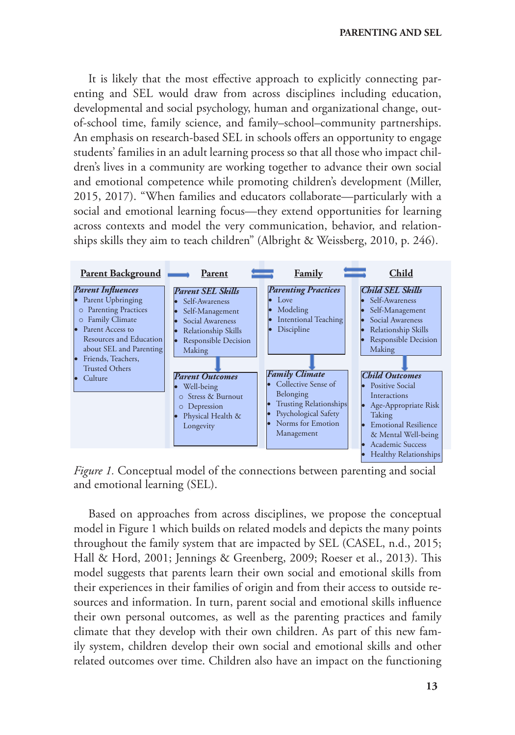It is likely that the most effective approach to explicitly connecting parenting and SEL would draw from across disciplines including education, developmental and social psychology, human and organizational change, outof-school time, family science, and family–school–community partnerships. An emphasis on research-based SEL in schools offers an opportunity to engage students' families in an adult learning process so that all those who impact children's lives in a community are working together to advance their own social and emotional competence while promoting children's development (Miller, 2015, 2017). "When families and educators collaborate—particularly with a social and emotional learning focus—they extend opportunities for learning across contexts and model the very communication, behavior, and relationships skills they aim to teach children" (Albright & Weissberg, 2010, p. 246).



*Figure 1.* Conceptual model of the connections between parenting and social and emotional learning (SEL).

Based on approaches from across disciplines, we propose the conceptual model in Figure 1 which builds on related models and depicts the many points throughout the family system that are impacted by SEL (CASEL, n.d., 2015; Hall & Hord, 2001; Jennings & Greenberg, 2009; Roeser et al., 2013). This model suggests that parents learn their own social and emotional skills from their experiences in their families of origin and from their access to outside resources and information. In turn, parent social and emotional skills influence their own personal outcomes, as well as the parenting practices and family climate that they develop with their own children. As part of this new family system, children develop their own social and emotional skills and other related outcomes over time. Children also have an impact on the functioning

**13**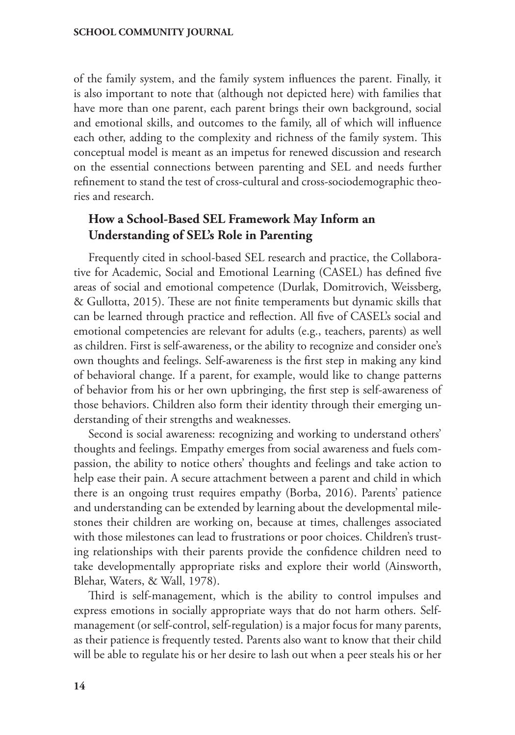of the family system, and the family system influences the parent. Finally, it is also important to note that (although not depicted here) with families that have more than one parent, each parent brings their own background, social and emotional skills, and outcomes to the family, all of which will influence each other, adding to the complexity and richness of the family system. This conceptual model is meant as an impetus for renewed discussion and research on the essential connections between parenting and SEL and needs further refinement to stand the test of cross-cultural and cross-sociodemographic theories and research.

## **How a School-Based SEL Framework May Inform an Understanding of SEL's Role in Parenting**

Frequently cited in school-based SEL research and practice, the Collaborative for Academic, Social and Emotional Learning (CASEL) has defined five areas of social and emotional competence (Durlak, Domitrovich, Weissberg, & Gullotta, 2015). These are not finite temperaments but dynamic skills that can be learned through practice and reflection. All five of CASEL's social and emotional competencies are relevant for adults (e.g., teachers, parents) as well as children. First is self-awareness, or the ability to recognize and consider one's own thoughts and feelings. Self-awareness is the first step in making any kind of behavioral change. If a parent, for example, would like to change patterns of behavior from his or her own upbringing, the first step is self-awareness of those behaviors. Children also form their identity through their emerging understanding of their strengths and weaknesses.

Second is social awareness: recognizing and working to understand others' thoughts and feelings. Empathy emerges from social awareness and fuels compassion, the ability to notice others' thoughts and feelings and take action to help ease their pain. A secure attachment between a parent and child in which there is an ongoing trust requires empathy (Borba, 2016). Parents' patience and understanding can be extended by learning about the developmental milestones their children are working on, because at times, challenges associated with those milestones can lead to frustrations or poor choices. Children's trusting relationships with their parents provide the confidence children need to take developmentally appropriate risks and explore their world (Ainsworth, Blehar, Waters, & Wall, 1978).

Third is self-management, which is the ability to control impulses and express emotions in socially appropriate ways that do not harm others. Selfmanagement (or self-control, self-regulation) is a major focus for many parents, as their patience is frequently tested. Parents also want to know that their child will be able to regulate his or her desire to lash out when a peer steals his or her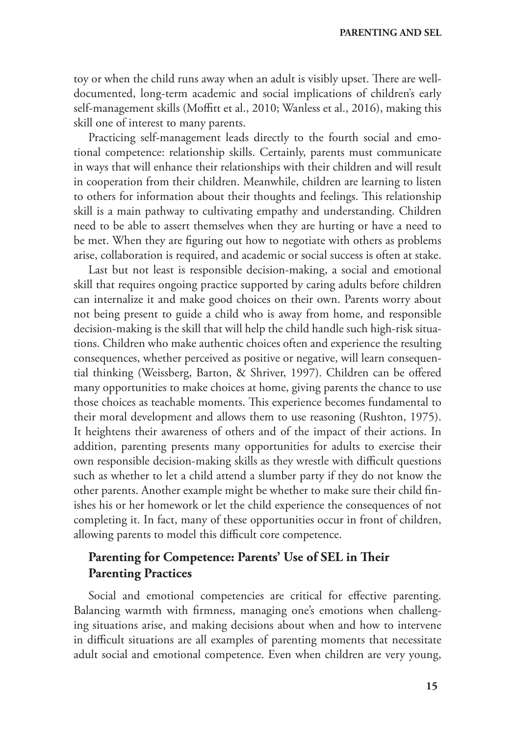toy or when the child runs away when an adult is visibly upset. There are welldocumented, long-term academic and social implications of children's early self-management skills (Moffitt et al., 2010; Wanless et al., 2016), making this skill one of interest to many parents.

Practicing self-management leads directly to the fourth social and emotional competence: relationship skills. Certainly, parents must communicate in ways that will enhance their relationships with their children and will result in cooperation from their children. Meanwhile, children are learning to listen to others for information about their thoughts and feelings. This relationship skill is a main pathway to cultivating empathy and understanding. Children need to be able to assert themselves when they are hurting or have a need to be met. When they are figuring out how to negotiate with others as problems arise, collaboration is required, and academic or social success is often at stake.

Last but not least is responsible decision-making, a social and emotional skill that requires ongoing practice supported by caring adults before children can internalize it and make good choices on their own. Parents worry about not being present to guide a child who is away from home, and responsible decision-making is the skill that will help the child handle such high-risk situations. Children who make authentic choices often and experience the resulting consequences, whether perceived as positive or negative, will learn consequential thinking (Weissberg, Barton, & Shriver, 1997). Children can be offered many opportunities to make choices at home, giving parents the chance to use those choices as teachable moments. This experience becomes fundamental to their moral development and allows them to use reasoning (Rushton, 1975). It heightens their awareness of others and of the impact of their actions. In addition, parenting presents many opportunities for adults to exercise their own responsible decision-making skills as they wrestle with difficult questions such as whether to let a child attend a slumber party if they do not know the other parents. Another example might be whether to make sure their child finishes his or her homework or let the child experience the consequences of not completing it. In fact, many of these opportunities occur in front of children, allowing parents to model this difficult core competence.

# **Parenting for Competence: Parents' Use of SEL in Their Parenting Practices**

Social and emotional competencies are critical for effective parenting. Balancing warmth with firmness, managing one's emotions when challenging situations arise, and making decisions about when and how to intervene in difficult situations are all examples of parenting moments that necessitate adult social and emotional competence. Even when children are very young,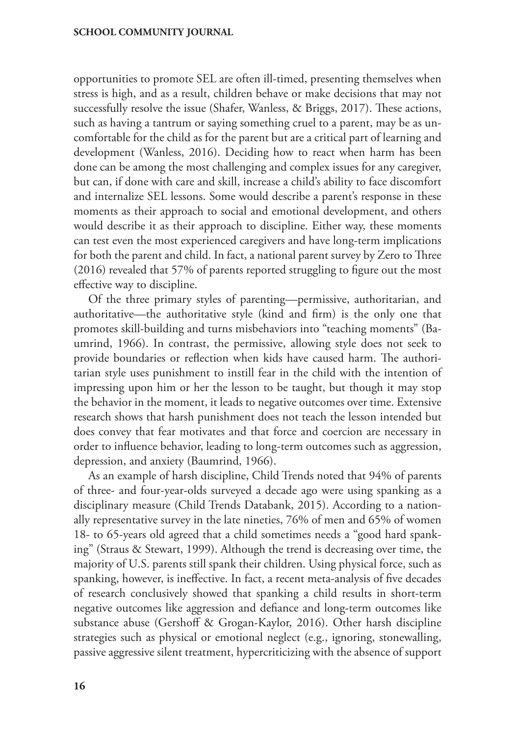opportunities to promote SEL are often ill-timed, presenting themselves when stress is high, and as a result, children behave or make decisions that may not successfully resolve the issue (Shafer, Wanless, & Briggs, 2017). These actions, such as having a tantrum or saying something cruel to a parent, may be as uncomfortable for the child as for the parent but are a critical part of learning and development (Wanless, 2016). Deciding how to react when harm has been done can be among the most challenging and complex issues for any caregiver, but can, if done with care and skill, increase a child's ability to face discomfort and internalize SEL lessons. Some would describe a parent's response in these moments as their approach to social and emotional development, and others would describe it as their approach to discipline. Either way, these moments can test even the most experienced caregivers and have long-term implications for both the parent and child. In fact, a national parent survey by Zero to Three (2016) revealed that 57% of parents reported struggling to figure out the most effective way to discipline.

Of the three primary styles of parenting—permissive, authoritarian, and authoritative—the authoritative style (kind and firm) is the only one that promotes skill-building and turns misbehaviors into "teaching moments" (Baumrind, 1966). In contrast, the permissive, allowing style does not seek to provide boundaries or reflection when kids have caused harm. The authoritarian style uses punishment to instill fear in the child with the intention of impressing upon him or her the lesson to be taught, but though it may stop the behavior in the moment, it leads to negative outcomes over time. Extensive research shows that harsh punishment does not teach the lesson intended but does convey that fear motivates and that force and coercion are necessary in order to influence behavior, leading to long-term outcomes such as aggression, depression, and anxiety (Baumrind, 1966).

As an example of harsh discipline, Child Trends noted that 94% of parents of three- and four-year-olds surveyed a decade ago were using spanking as a disciplinary measure (Child Trends Databank, 2015). According to a nationally representative survey in the late nineties, 76% of men and 65% of women 18- to 65-years old agreed that a child sometimes needs a "good hard spanking" (Straus & Stewart, 1999). Although the trend is decreasing over time, the majority of U.S. parents still spank their children. Using physical force, such as spanking, however, is ineffective. In fact, a [recent meta-analysis of five decades](https://www.sciencedaily.com/releases/2016/04/160425143106.htm) [of research](https://www.sciencedaily.com/releases/2016/04/160425143106.htm) conclusively showed that spanking a child results in short-term negative outcomes like aggression and defiance and [long-term outcomes](https://www.sciencedaily.com/releases/2016/04/160425143106.htm) like substance abuse (Gershoff & Grogan-Kaylor, 2016). Other harsh discipline strategies such as physical or emotional neglect (e.g., ignoring, stonewalling, passive aggressive silent treatment, hypercriticizing with the absence of support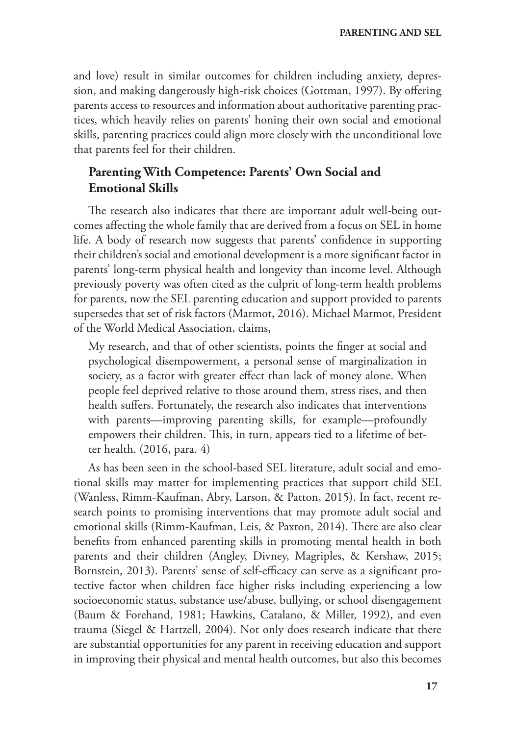and love) result in similar outcomes for children including anxiety, depression, and making dangerously high-risk choices (Gottman, 1997). By offering parents access to resources and information about authoritative parenting practices, which heavily relies on parents' honing their own social and emotional skills, parenting practices could align more closely with the unconditional love that parents feel for their children.

# **Parenting With Competence: Parents' Own Social and Emotional Skills**

The research also indicates that there are important adult well-being outcomes affecting the whole family that are derived from a focus on SEL in home life. A body of research now suggests that parents' confidence in supporting their children's social and emotional development is a more significant factor in parents' long-term physical health and longevity than income level. Although previously poverty was often cited as the culprit of long-term health problems for parents, now the SEL parenting education and support provided to parents supersedes that set of risk factors (Marmot, 2016). Michael Marmot, President of the World Medical Association, claims,

My research, and that of other scientists, points the finger at social and psychological disempowerment, a personal sense of marginalization in society, as a factor with greater effect than lack of money alone. When people feel deprived relative to those around them, stress rises, and then health suffers. Fortunately, the research also indicates that interventions with parents—improving parenting skills, for example—profoundly empowers their children. This, in turn, appears tied to a lifetime of better health. (2016, para. 4)

As has been seen in the school-based SEL literature, adult social and emotional skills may matter for implementing practices that support child SEL (Wanless, Rimm-Kaufman, Abry, Larson, & Patton, 2015). In fact, recent research points to promising interventions that may promote adult social and emotional skills (Rimm-Kaufman, Leis, & Paxton, 2014). There are also clear benefits from enhanced parenting skills in promoting mental health in both parents and their children (Angley, Divney, Magriples, & Kershaw, 2015; Bornstein, 2013). Parents' sense of self-efficacy can serve as a significant protective factor when children face higher risks including experiencing a low socioeconomic status, substance use/abuse, bullying, or school disengagement (Baum & Forehand, 1981; Hawkins, Catalano, & Miller, 1992), and even trauma (Siegel & Hartzell, 2004). Not only does research indicate that there are substantial opportunities for any parent in receiving education and support in improving their physical and mental health outcomes, but also this becomes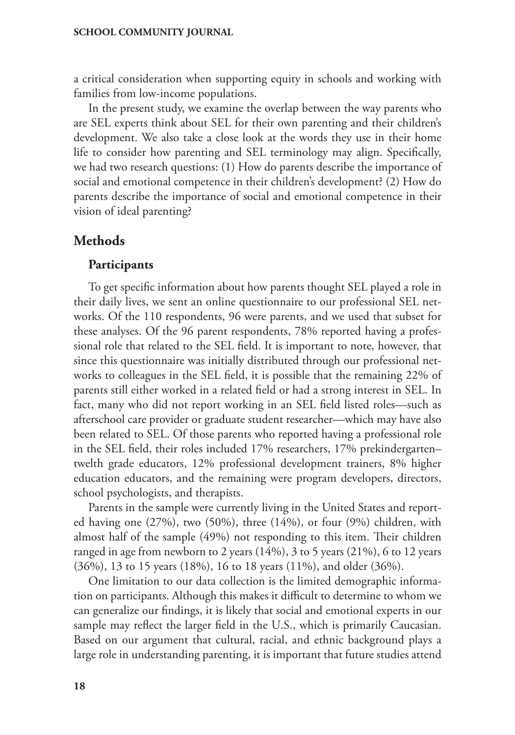a critical consideration when supporting equity in schools and working with families from low-income populations.

In the present study, we examine the overlap between the way parents who are SEL experts think about SEL for their own parenting and their children's development. We also take a close look at the words they use in their home life to consider how parenting and SEL terminology may align. Specifically, we had two research questions: (1) How do parents describe the importance of social and emotional competence in their children's development? (2) How do parents describe the importance of social and emotional competence in their vision of ideal parenting?

## **Methods**

## **Participants**

To get specific information about how parents thought SEL played a role in their daily lives, we sent an online questionnaire to our professional SEL networks. Of the 110 respondents, 96 were parents, and we used that subset for these analyses. Of the 96 parent respondents, 78% reported having a professional role that related to the SEL field. It is important to note, however, that since this questionnaire was initially distributed through our professional networks to colleagues in the SEL field, it is possible that the remaining 22% of parents still either worked in a related field or had a strong interest in SEL. In fact, many who did not report working in an SEL field listed roles—such as afterschool care provider or graduate student researcher—which may have also been related to SEL. Of those parents who reported having a professional role in the SEL field, their roles included 17% researchers, 17% prekindergarten– twelth grade educators, 12% professional development trainers, 8% higher education educators, and the remaining were program developers, directors, school psychologists, and therapists.

Parents in the sample were currently living in the United States and reported having one (27%), two (50%), three (14%), or four (9%) children, with almost half of the sample (49%) not responding to this item. Their children ranged in age from newborn to 2 years (14%), 3 to 5 years (21%), 6 to 12 years (36%), 13 to 15 years (18%), 16 to 18 years (11%), and older (36%).

One limitation to our data collection is the limited demographic information on participants. Although this makes it difficult to determine to whom we can generalize our findings, it is likely that social and emotional experts in our sample may reflect the larger field in the U.S., which is primarily Caucasian. Based on our argument that cultural, racial, and ethnic background plays a large role in understanding parenting, it is important that future studies attend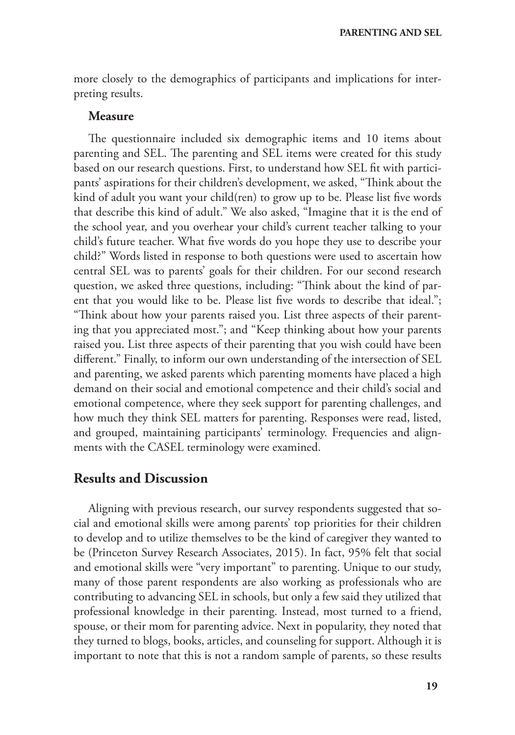more closely to the demographics of participants and implications for interpreting results.

## **Measure**

The questionnaire included six demographic items and 10 items about parenting and SEL. The parenting and SEL items were created for this study based on our research questions. First, to understand how SEL fit with participants' aspirations for their children's development, we asked, "Think about the kind of adult you want your child(ren) to grow up to be. Please list five words that describe this kind of adult." We also asked, "Imagine that it is the end of the school year, and you overhear your child's current teacher talking to your child's future teacher. What five words do you hope they use to describe your child?" Words listed in response to both questions were used to ascertain how central SEL was to parents' goals for their children. For our second research question, we asked three questions, including: "Think about the kind of parent that you would like to be. Please list five words to describe that ideal."; "Think about how your parents raised you. List three aspects of their parenting that you appreciated most."; and "Keep thinking about how your parents raised you. List three aspects of their parenting that you wish could have been different." Finally, to inform our own understanding of the intersection of SEL and parenting, we asked parents which parenting moments have placed a high demand on their social and emotional competence and their child's social and emotional competence, where they seek support for parenting challenges, and how much they think SEL matters for parenting. Responses were read, listed, and grouped, maintaining participants' terminology. Frequencies and alignments with the CASEL terminology were examined.

## **Results and Discussion**

Aligning with previous research, our survey respondents suggested that social and emotional skills were among parents' top priorities for their children to develop and to utilize themselves to be the kind of caregiver they wanted to be (Princeton Survey Research Associates, 2015). In fact, 95% felt that social and emotional skills were "very important" to parenting. Unique to our study, many of those parent respondents are also working as professionals who are contributing to advancing SEL in schools, but only a few said they utilized that professional knowledge in their parenting. Instead, most turned to a friend, spouse, or their mom for parenting advice. Next in popularity, they noted that they turned to blogs, books, articles, and counseling for support. Although it is important to note that this is not a random sample of parents, so these results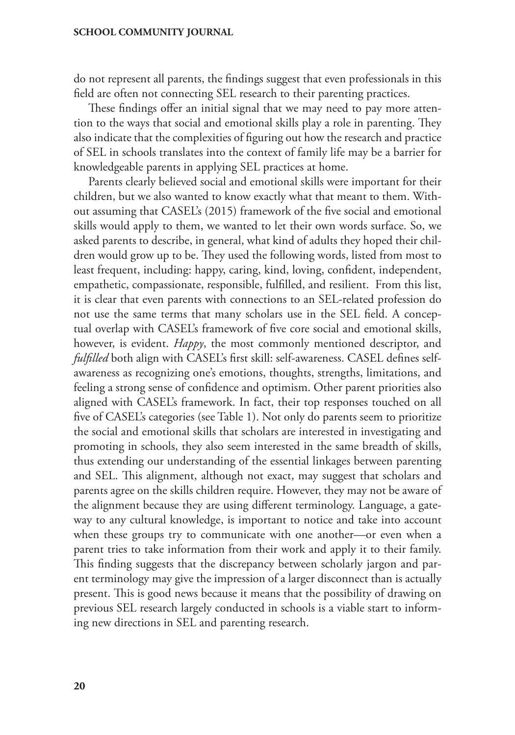do not represent all parents, the findings suggest that even professionals in this field are often not connecting SEL research to their parenting practices.

These findings offer an initial signal that we may need to pay more attention to the ways that social and emotional skills play a role in parenting. They also indicate that the complexities of figuring out how the research and practice of SEL in schools translates into the context of family life may be a barrier for knowledgeable parents in applying SEL practices at home.

Parents clearly believed social and emotional skills were important for their children, but we also wanted to know exactly what that meant to them. Without assuming that CASEL's (2015) framework of the five social and emotional skills would apply to them, we wanted to let their own words surface. So, we asked parents to describe, in general, what kind of adults they hoped their children would grow up to be. They used the following words, listed from most to least frequent, including: happy, caring, kind, loving, confident, independent, empathetic, compassionate, responsible, fulfilled, and resilient. From this list, it is clear that even parents with connections to an SEL-related profession do not use the same terms that many scholars use in the SEL field. A conceptual overlap with CASEL's framework of five core social and emotional skills, however, is evident. *Happy*, the most commonly mentioned descriptor, and *fulfilled* both align with CASEL's first skill: self-awareness. CASEL defines selfawareness as recognizing one's emotions, thoughts, strengths, limitations, and feeling a strong sense of confidence and optimism. Other parent priorities also aligned with CASEL's framework. In fact, their top responses touched on all five of CASEL's categories (see Table 1). Not only do parents seem to prioritize the social and emotional skills that scholars are interested in investigating and promoting in schools, they also seem interested in the same breadth of skills, thus extending our understanding of the essential linkages between parenting and SEL. This alignment, although not exact, may suggest that scholars and parents agree on the skills children require. However, they may not be aware of the alignment because they are using different terminology. Language, a gateway to any cultural knowledge, is important to notice and take into account when these groups try to communicate with one another—or even when a parent tries to take information from their work and apply it to their family. This finding suggests that the discrepancy between scholarly jargon and parent terminology may give the impression of a larger disconnect than is actually present. This is good news because it means that the possibility of drawing on previous SEL research largely conducted in schools is a viable start to informing new directions in SEL and parenting research.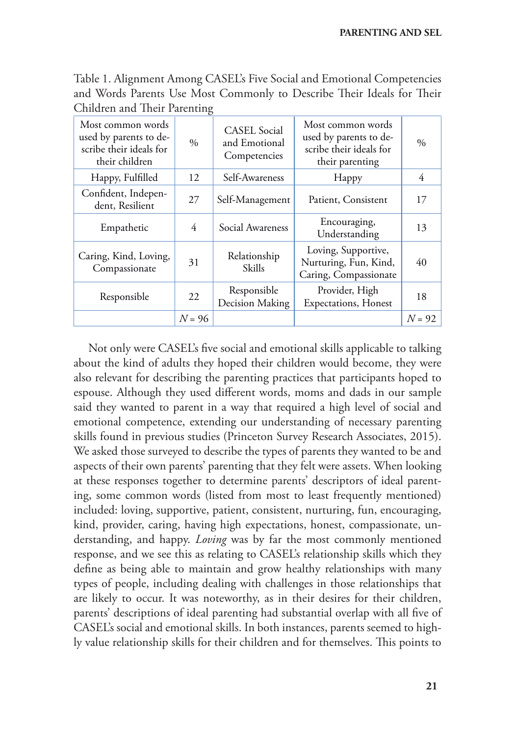Table 1. Alignment Among CASEL's Five Social and Emotional Competencies and Words Parents Use Most Commonly to Describe Their Ideals for Their Children and Their Parenting

| Most common words<br>used by parents to de-<br>scribe their ideals for<br>their children | $\frac{0}{0}$ | <b>CASEL</b> Social<br>and Emotional<br>Competencies | Most common words<br>used by parents to de-<br>scribe their ideals for<br>their parenting | $\frac{0}{0}$ |
|------------------------------------------------------------------------------------------|---------------|------------------------------------------------------|-------------------------------------------------------------------------------------------|---------------|
| Happy, Fulfilled                                                                         | 12            | Self-Awareness                                       | Happy                                                                                     | 4             |
| Confident, Indepen-<br>dent, Resilient                                                   | 27            | Self-Management                                      | Patient, Consistent                                                                       | 17            |
| Empathetic                                                                               | 4             | Social Awareness                                     | Encouraging,<br>Understanding                                                             | 13            |
| Caring, Kind, Loving,<br>Compassionate                                                   | 31            | Relationship<br>Skills                               | Loving, Supportive,<br>Nurturing, Fun, Kind,<br>Caring, Compassionate                     | 40            |
| Responsible                                                                              | 22            | Responsible<br>Decision Making                       | Provider, High<br><b>Expectations</b> , Honest                                            | 18            |
|                                                                                          | $N = 96$      |                                                      |                                                                                           | $N = 92$      |

Not only were CASEL's five social and emotional skills applicable to talking about the kind of adults they hoped their children would become, they were also relevant for describing the parenting practices that participants hoped to espouse. Although they used different words, moms and dads in our sample said they wanted to parent in a way that required a high level of social and emotional competence, extending our understanding of necessary parenting skills found in previous studies (Princeton Survey Research Associates, 2015). We asked those surveyed to describe the types of parents they wanted to be and aspects of their own parents' parenting that they felt were assets. When looking at these responses together to determine parents' descriptors of ideal parenting, some common words (listed from most to least frequently mentioned) included: loving, supportive, patient, consistent, nurturing, fun, encouraging, kind, provider, caring, having high expectations, honest, compassionate, understanding, and happy. *Loving* was by far the most commonly mentioned response, and we see this as relating to CASEL's relationship skills which they define as being able to maintain and grow healthy relationships with many types of people, including dealing with challenges in those relationships that are likely to occur. It was noteworthy, as in their desires for their children, parents' descriptions of ideal parenting had substantial overlap with all five of CASEL's social and emotional skills. In both instances, parents seemed to highly value relationship skills for their children and for themselves. This points to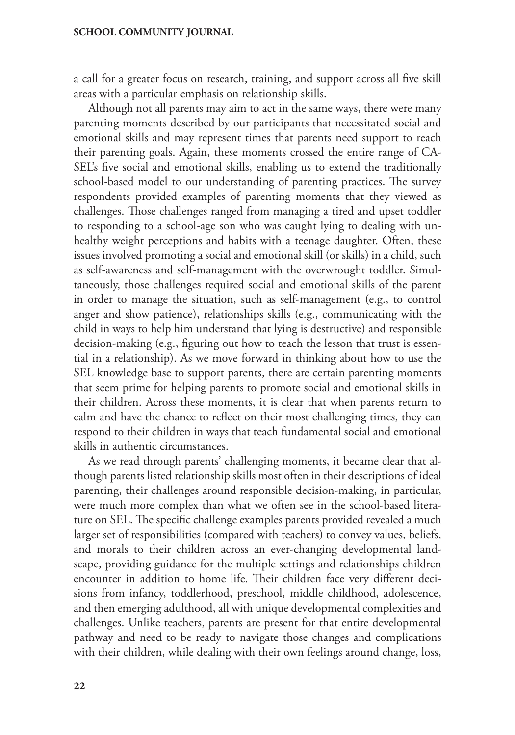a call for a greater focus on research, training, and support across all five skill areas with a particular emphasis on relationship skills.

Although not all parents may aim to act in the same ways, there were many parenting moments described by our participants that necessitated social and emotional skills and may represent times that parents need support to reach their parenting goals. Again, these moments crossed the entire range of CA-SEL's five social and emotional skills, enabling us to extend the traditionally school-based model to our understanding of parenting practices. The survey respondents provided examples of parenting moments that they viewed as challenges. Those challenges ranged from managing a tired and upset toddler to responding to a school-age son who was caught lying to dealing with unhealthy weight perceptions and habits with a teenage daughter. Often, these issues involved promoting a social and emotional skill (or skills) in a child, such as self-awareness and self-management with the overwrought toddler. Simultaneously, those challenges required social and emotional skills of the parent in order to manage the situation, such as self-management (e.g., to control anger and show patience), relationships skills (e.g., communicating with the child in ways to help him understand that lying is destructive) and responsible decision-making (e.g., figuring out how to teach the lesson that trust is essential in a relationship). As we move forward in thinking about how to use the SEL knowledge base to support parents, there are certain parenting moments that seem prime for helping parents to promote social and emotional skills in their children. Across these moments, it is clear that when parents return to calm and have the chance to reflect on their most challenging times, they can respond to their children in ways that teach fundamental social and emotional skills in authentic circumstances.

As we read through parents' challenging moments, it became clear that although parents listed relationship skills most often in their descriptions of ideal parenting, their challenges around responsible decision-making, in particular, were much more complex than what we often see in the school-based literature on SEL. The specific challenge examples parents provided revealed a much larger set of responsibilities (compared with teachers) to convey values, beliefs, and morals to their children across an ever-changing developmental landscape, providing guidance for the multiple settings and relationships children encounter in addition to home life. Their children face very different decisions from infancy, toddlerhood, preschool, middle childhood, adolescence, and then emerging adulthood, all with unique developmental complexities and challenges. Unlike teachers, parents are present for that entire developmental pathway and need to be ready to navigate those changes and complications with their children, while dealing with their own feelings around change, loss,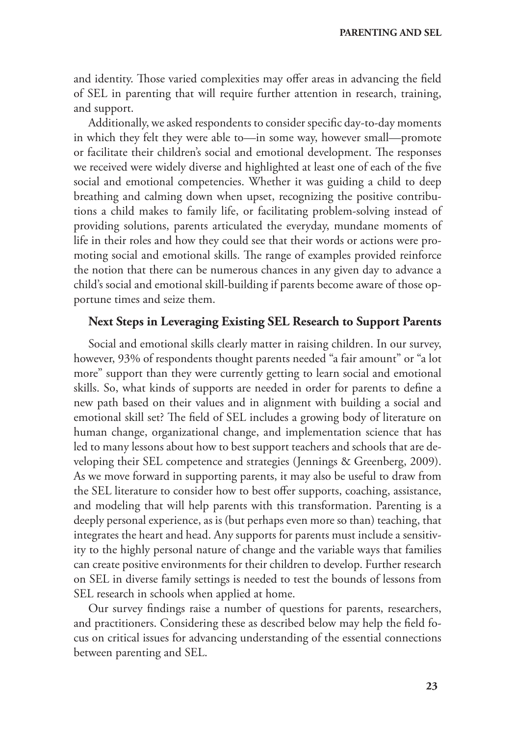and identity. Those varied complexities may offer areas in advancing the field of SEL in parenting that will require further attention in research, training, and support.

Additionally, we asked respondents to consider specific day-to-day moments in which they felt they were able to—in some way, however small—promote or facilitate their children's social and emotional development. The responses we received were widely diverse and highlighted at least one of each of the five social and emotional competencies. Whether it was guiding a child to deep breathing and calming down when upset, recognizing the positive contributions a child makes to family life, or facilitating problem-solving instead of providing solutions, parents articulated the everyday, mundane moments of life in their roles and how they could see that their words or actions were promoting social and emotional skills. The range of examples provided reinforce the notion that there can be numerous chances in any given day to advance a child's social and emotional skill-building if parents become aware of those opportune times and seize them.

# **Next Steps in Leveraging Existing SEL Research to Support Parents**

Social and emotional skills clearly matter in raising children. In our survey, however, 93% of respondents thought parents needed "a fair amount" or "a lot more" support than they were currently getting to learn social and emotional skills. So, what kinds of supports are needed in order for parents to define a new path based on their values and in alignment with building a social and emotional skill set? The field of SEL includes a growing body of literature on human change, organizational change, and implementation science that has led to many lessons about how to best support teachers and schools that are developing their SEL competence and strategies (Jennings & Greenberg, 2009). As we move forward in supporting parents, it may also be useful to draw from the SEL literature to consider how to best offer supports, coaching, assistance, and modeling that will help parents with this transformation. Parenting is a deeply personal experience, as is (but perhaps even more so than) teaching, that integrates the heart and head. Any supports for parents must include a sensitivity to the highly personal nature of change and the variable ways that families can create positive environments for their children to develop. Further research on SEL in diverse family settings is needed to test the bounds of lessons from SEL research in schools when applied at home.

Our survey findings raise a number of questions for parents, researchers, and practitioners. Considering these as described below may help the field focus on critical issues for advancing understanding of the essential connections between parenting and SEL.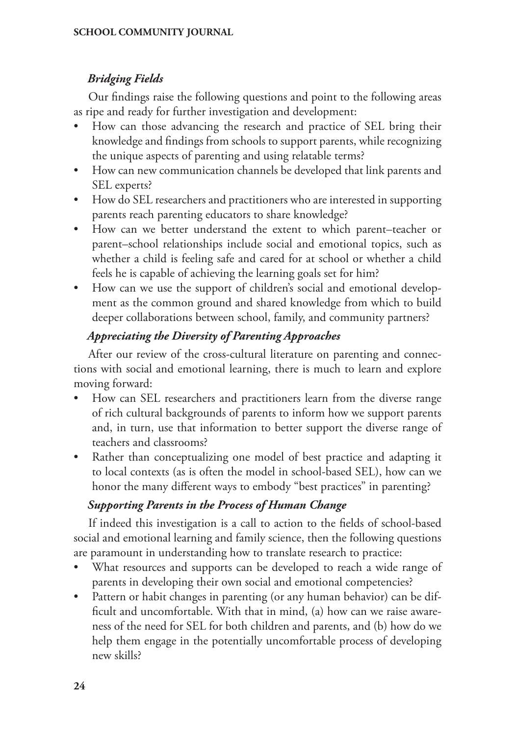# *Bridging Fields*

Our findings raise the following questions and point to the following areas as ripe and ready for further investigation and development:

- How can those advancing the research and practice of SEL bring their knowledge and findings from schools to support parents, while recognizing the unique aspects of parenting and using relatable terms?
- How can new communication channels be developed that link parents and SEL experts?
- How do SEL researchers and practitioners who are interested in supporting parents reach parenting educators to share knowledge?
- How can we better understand the extent to which parent–teacher or parent–school relationships include social and emotional topics, such as whether a child is feeling safe and cared for at school or whether a child feels he is capable of achieving the learning goals set for him?
- How can we use the support of children's social and emotional development as the common ground and shared knowledge from which to build deeper collaborations between school, family, and community partners?

# *Appreciating the Diversity of Parenting Approaches*

After our review of the cross-cultural literature on parenting and connections with social and emotional learning, there is much to learn and explore moving forward:

- How can SEL researchers and practitioners learn from the diverse range of rich cultural backgrounds of parents to inform how we support parents and, in turn, use that information to better support the diverse range of teachers and classrooms?
- Rather than conceptualizing one model of best practice and adapting it to local contexts (as is often the model in school-based SEL), how can we honor the many different ways to embody "best practices" in parenting?

# *Supporting Parents in the Process of Human Change*

If indeed this investigation is a call to action to the fields of school-based social and emotional learning and family science, then the following questions are paramount in understanding how to translate research to practice:

- What resources and supports can be developed to reach a wide range of parents in developing their own social and emotional competencies?
- Pattern or habit changes in parenting (or any human behavior) can be difficult and uncomfortable. With that in mind, (a) how can we raise awareness of the need for SEL for both children and parents, and (b) how do we help them engage in the potentially uncomfortable process of developing new skills?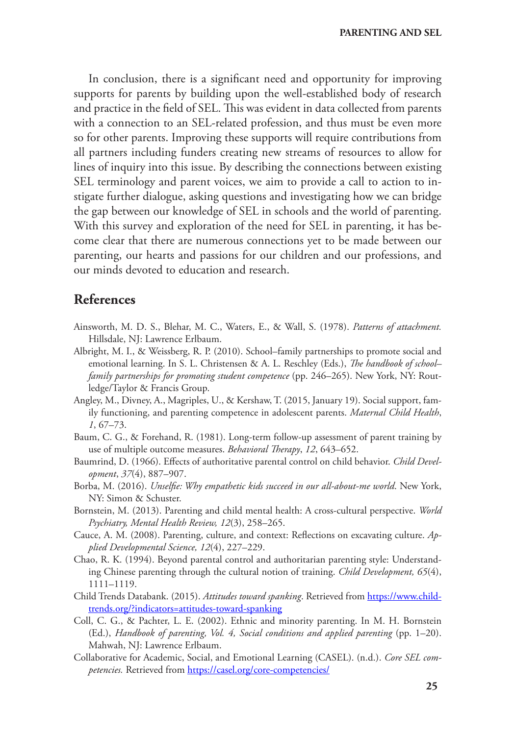In conclusion, there is a significant need and opportunity for improving supports for parents by building upon the well-established body of research and practice in the field of SEL. This was evident in data collected from parents with a connection to an SEL-related profession, and thus must be even more so for other parents. Improving these supports will require contributions from all partners including funders creating new streams of resources to allow for lines of inquiry into this issue. By describing the connections between existing SEL terminology and parent voices, we aim to provide a call to action to instigate further dialogue, asking questions and investigating how we can bridge the gap between our knowledge of SEL in schools and the world of parenting. With this survey and exploration of the need for SEL in parenting, it has become clear that there are numerous connections yet to be made between our parenting, our hearts and passions for our children and our professions, and our minds devoted to education and research.

## **References**

- Ainsworth, M. D. S., Blehar, M. C., Waters, E., & Wall, S. (1978). *Patterns of attachment.*  Hillsdale, NJ: Lawrence Erlbaum.
- Albright, M. I., & Weissberg, R. P. (2010). School–family partnerships to promote social and emotional learning. In S. L. Christensen & A. L. Reschley (Eds.), *The handbook of school– family partnerships for promoting student competence* (pp. 246–265). New York, NY: Routledge/Taylor & Francis Group.
- Angley, M., Divney, A., Magriples, U., & Kershaw, T. (2015, January 19). Social support, family functioning, and parenting competence in adolescent parents. *Maternal Child Health*, *1*, 67–73.
- Baum, C. G., & Forehand, R. (1981). Long-term follow-up assessment of parent training by use of multiple outcome measures. *Behavioral Therapy*, *12*, 643–652.
- Baumrind, D. (1966). Effects of authoritative parental control on child behavior. *Child Development*, *37*(4), 887–907.
- Borba, M. (2016). *Unselfie: Why empathetic kids succeed in our all-about-me world*. New York, NY: Simon & Schuster.
- Bornstein, M. (2013). Parenting and child mental health: A cross-cultural perspective. *World Psychiatry, Mental Health Review, 12*(3), 258–265.
- Cauce, A. M. (2008). Parenting, culture, and context: Reflections on excavating culture. *Applied Developmental Science, 12*(4), 227–229.
- Chao, R. K. (1994). Beyond parental control and authoritarian parenting style: Understanding Chinese parenting through the cultural notion of training. *Child Development, 65*(4), 1111–1119.
- Child Trends Databank. (2015). *Attitudes toward spanking*. Retrieved from [https://www.child](https://www.childtrends.org/?indicators=attitudes-toward-spanking)[trends.org/?indicators=attitudes-toward-spanking](https://www.childtrends.org/?indicators=attitudes-toward-spanking)
- Coll, C. G., & Pachter, L. E. (2002). Ethnic and minority parenting. In M. H. Bornstein (Ed.), *Handbook of parenting, Vol. 4, Social conditions and applied parenting* (pp. 1–20). Mahwah, NJ: Lawrence Erlbaum.
- Collaborative for Academic, Social, and Emotional Learning (CASEL). (n.d.). *Core SEL competencies.* Retrieved from<https://casel.org/core-competencies/>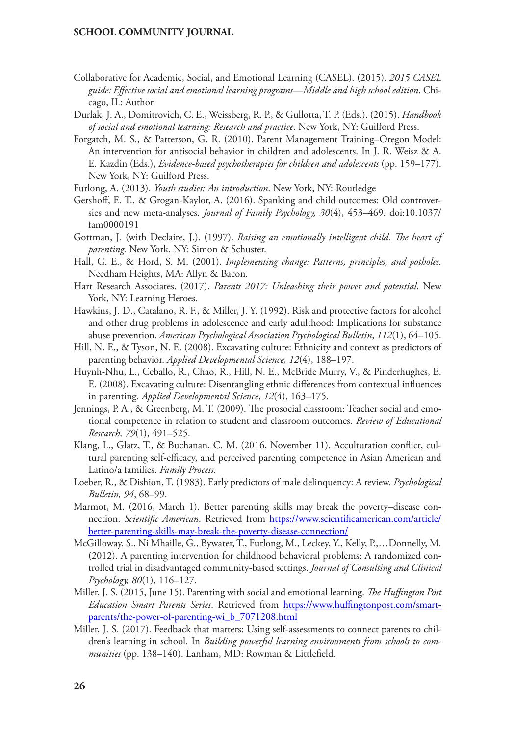- Collaborative for Academic, Social, and Emotional Learning (CASEL). (2015). *2015 CASEL guide: Effective social and emotional learning programs—Middle and high school edition*. Chicago, IL: Author.
- Durlak, J. A., Domitrovich, C. E., Weissberg, R. P., & Gullotta, T. P. (Eds.). (2015). *Handbook of social and emotional learning: Research and practice*. New York, NY: Guilford Press.
- Forgatch, M. S., & Patterson, G. R. (2010). Parent Management Training–Oregon Model: An intervention for antisocial behavior in children and adolescents. In J. R. Weisz & A. E. Kazdin (Eds.), *Evidence-based psychotherapies for children and adolescents* (pp. 159–177). New York, NY: Guilford Press.
- Furlong, A. (2013). *Youth studies: An introduction*. New York, NY: Routledge
- Gershoff, E. T., & Grogan-Kaylor, A. (2016). Spanking and child outcomes: Old controversies and new meta-analyses. *Journal of Family Psychology, 30*(4), 453–469. doi[:10.1037/](http://dx.doi.org/10.1037/fam0000191) [fam0000191](http://dx.doi.org/10.1037/fam0000191)
- Gottman, J. (with Declaire, J.). (1997). *Raising an emotionally intelligent child. The heart of parenting.* New York, NY: Simon & Schuster.
- Hall, G. E., & Hord, S. M. (2001). *Implementing change: Patterns, principles, and potholes.*  Needham Heights, MA: Allyn & Bacon.
- Hart Research Associates. (2017). *Parents 2017: Unleashing their power and potential*. New York, NY: Learning Heroes.
- Hawkins, J. D., Catalano, R. F., & Miller, J. Y. (1992). Risk and protective factors for alcohol and other drug problems in adolescence and early adulthood: Implications for substance abuse prevention. *American Psychological Association Psychological Bulletin*, *112*(1), 64–105.
- Hill, N. E., & Tyson, N. E. (2008). Excavating culture: Ethnicity and context as predictors of parenting behavior. *Applied Developmental Science, 12*(4), 188–197.
- Huynh-Nhu, L., Ceballo, R., Chao, R., Hill, N. E., McBride Murry, V., & Pinderhughes, E. E. (2008). Excavating culture: Disentangling ethnic differences from contextual influences in parenting. *Applied Developmental Science*, *12*(4), 163–175.
- Jennings, P. A., & Greenberg, M. T. (2009). The prosocial classroom: Teacher social and emotional competence in relation to student and classroom outcomes. *Review of Educational Research, 79*(1), 491–525.
- Klang, L., Glatz, T., & Buchanan, C. M. (2016, November 11). Acculturation conflict, cultural parenting self-efficacy, and perceived parenting competence in Asian American and Latino/a families. *Family Process*.
- Loeber, R., & Dishion, T. (1983). Early predictors of male delinquency: A review. *Psychological Bulletin, 94*, 68–99.
- Marmot, M. (2016, March 1). Better parenting skills may break the poverty–disease connection. *Scientific American*. Retrieved from [https://www.scientificamerican.com/article/](https://www.scientificamerican.com/article/better-parenting-skills-may-break-the-poverty-disease-connection/) [better-parenting-skills-may-break-the-poverty-disease-connection/](https://www.scientificamerican.com/article/better-parenting-skills-may-break-the-poverty-disease-connection/)
- McGilloway, S., Ni Mhaille, G., Bywater, T., Furlong, M., Leckey, Y., Kelly, P.,…Donnelly, M. (2012). A parenting intervention for childhood behavioral problems: A randomized controlled trial in disadvantaged community-based settings. *Journal of Consulting and Clinical Psychology, 80*(1), 116–127.
- Miller, J. S. (2015, June 15). Parenting with social and emotional learning. *The Huffington Post Education Smart Parents Series*. Retrieved from [https://www.huffingtonpost.com/smart](https://www.huffingtonpost.com/smart-parents/the-power-of-parenting-wi_b_7071208.html)[parents/the-power-of-parenting-wi\\_b\\_7071208.html](https://www.huffingtonpost.com/smart-parents/the-power-of-parenting-wi_b_7071208.html)
- Miller, J. S. (2017). Feedback that matters: Using self-assessments to connect parents to children's learning in school. In *Building powerful learning environments from schools to communities* (pp. 138–140). Lanham, MD: Rowman & Littlefield.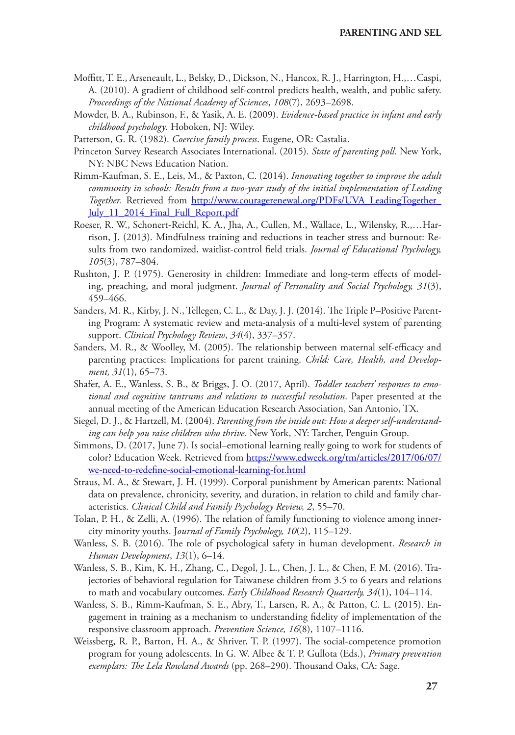- Moffitt, T. E., Arseneault, L., Belsky, D., Dickson, N., Hancox, R. J., Harrington, H.,…Caspi, A. (2010). A gradient of childhood self-control predicts health, wealth, and public safety. *Proceedings of the National Academy of Sciences*, *108*(7), 2693–2698.
- Mowder, B. A., Rubinson, F., & Yasik, A. E. (2009). *Evidence-based practice in infant and early childhood psychology*. Hoboken, NJ: Wiley.

Patterson, G. R. (1982). *Coercive family process*. Eugene, OR: Castalia.

- Princeton Survey Research Associates International. (2015). *State of parenting poll.* New York, NY: NBC News Education Nation.
- Rimm-Kaufman, S. E., Leis, M., & Paxton, C. (2014). *Innovating together to improve the adult community in schools: Results from a two-year study of the initial implementation of Leading*  Together. Retrieved from http://www.couragerenewal.org/PDFs/UVA\_LeadingTogether July 11 2014 Final Full Report.pdf
- Roeser, R. W., Schonert-Reichl, K. A., Jha, A., Cullen, M., Wallace, L., Wilensky, R.,…Harrison, J. (2013). Mindfulness training and reductions in teacher stress and burnout: Results from two randomized, waitlist-control field trials. *Journal of Educational Psychology, 105*(3), 787–804.
- Rushton, J. P. (1975). Generosity in children: Immediate and long-term effects of modeling, preaching, and moral judgment. *Journal of Personality and Social Psychology, 31*(3), 459–466.
- Sanders, M. R., Kirby, J. N., Tellegen, C. L., & Day, J. J. (2014). The Triple P–Positive Parenting Program: A systematic review and meta-analysis of a multi-level system of parenting support. *Clinical Psychology Review*, *34*(4), 337–357.
- Sanders, M. R., & Woolley, M. (2005). The relationship between maternal self-efficacy and parenting practices: Implications for parent training. *Child: Care, Health, and Development, 31*(1), 65–73.
- Shafer, A. E., Wanless, S. B., & Briggs, J. O. (2017, April). *Toddler teachers' responses to emotional and cognitive tantrums and relations to successful resolution*. Paper presented at the annual meeting of the American Education Research Association, San Antonio, TX.
- Siegel, D. J., & Hartzell, M. (2004). *Parenting from the inside out: How a deeper self-understanding can help you raise children who thrive.* New York, NY: Tarcher, Penguin Group.
- Simmons, D. (2017, June 7). Is social–emotional learning really going to work for students of color? Education Week. Retrieved from [https://www.edweek.org/tm/articles/2017/06/07/](https://www.edweek.org/tm/articles/2017/06/07/we-need-to-redefine-social-emotional-learning-for.html) [we-need-to-redefine-social-emotional-learning-for.html](https://www.edweek.org/tm/articles/2017/06/07/we-need-to-redefine-social-emotional-learning-for.html)
- Straus, M. A., & Stewart, J. H. (1999). Corporal punishment by American parents: National data on prevalence, chronicity, severity, and duration, in relation to child and family characteristics. *Clinical Child and Family Psychology Review, 2*, 55–70.
- Tolan, P. H., & Zelli, A. (1996). The relation of family functioning to violence among innercity minority youths. J*ournal of Family Psychology, 10*(2), 115–129.
- Wanless, S. B. (2016). The role of psychological safety in human development. *Research in Human Development*, *13*(1), 6–14.
- Wanless, S. B., Kim, K. H., Zhang, C., Degol, J. L., Chen, J. L., & Chen, F. M. (2016). Trajectories of behavioral regulation for Taiwanese children from 3.5 to 6 years and relations to math and vocabulary outcomes. *Early Childhood Research Quarterly, 34*(1), 104–114.
- Wanless, S. B., Rimm-Kaufman, S. E., Abry, T., Larsen, R. A., & Patton, C. L. (2015). Engagement in training as a mechanism to understanding fidelity of implementation of the responsive classroom approach. *Prevention Science, 16*(8), 1107–1116.
- Weissberg, R. P., Barton, H. A., & Shriver, T. P. (1997). The social-competence promotion program for young adolescents. In G. W. Albee & T. P. Gullota (Eds.), *Primary prevention exemplars: The Lela Rowland Awards* (pp. 268–290). Thousand Oaks, CA: Sage.